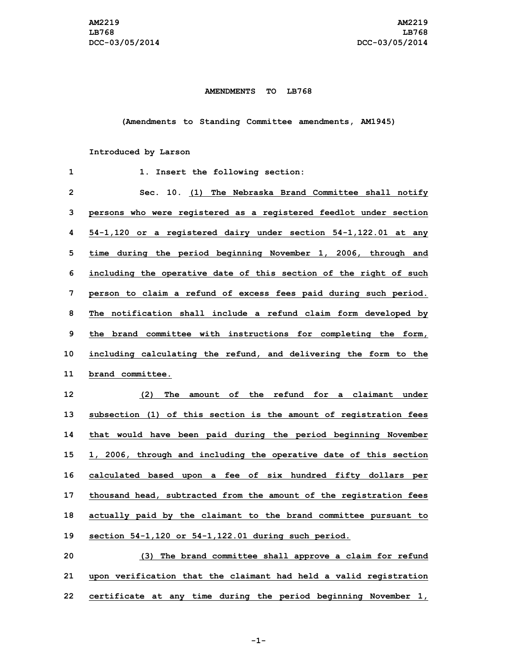## **AMENDMENTS TO LB768**

**(Amendments to Standing Committee amendments, AM1945)**

## **Introduced by Larson**

| 1  | 1. Insert the following section:                                   |
|----|--------------------------------------------------------------------|
| 2  | Sec. 10. (1) The Nebraska Brand Committee shall notify             |
| 3  | persons who were registered as a registered feedlot under section  |
| 4  | 54-1,120 or a registered dairy under section 54-1,122.01 at any    |
| 5  | time during the period beginning November 1, 2006, through and     |
| 6  | including the operative date of this section of the right of such  |
| 7  | person to claim a refund of excess fees paid during such period.   |
| 8  | The notification shall include a refund claim form developed by    |
| 9  | the brand committee with instructions for completing the form,     |
| 10 | including calculating the refund, and delivering the form to the   |
| 11 | brand committee.                                                   |
| 12 | (2)<br>The amount of the refund for a claimant under               |
| 13 | subsection (1) of this section is the amount of registration fees  |
| 14 | that would have been paid during the period beginning November     |
| 15 | 1, 2006, through and including the operative date of this section  |
| 16 | calculated based upon a fee of six hundred fifty dollars per       |
|    |                                                                    |
| 17 | thousand head, subtracted from the amount of the registration fees |
| 18 | actually paid by the claimant to the brand committee pursuant to   |
| 19 | section 54-1,120 or 54-1,122.01 during such period.                |
| 20 | (3) The brand committee shall approve a claim for refund           |

**22 certificate at any time during the period beginning November 1,**

**-1-**